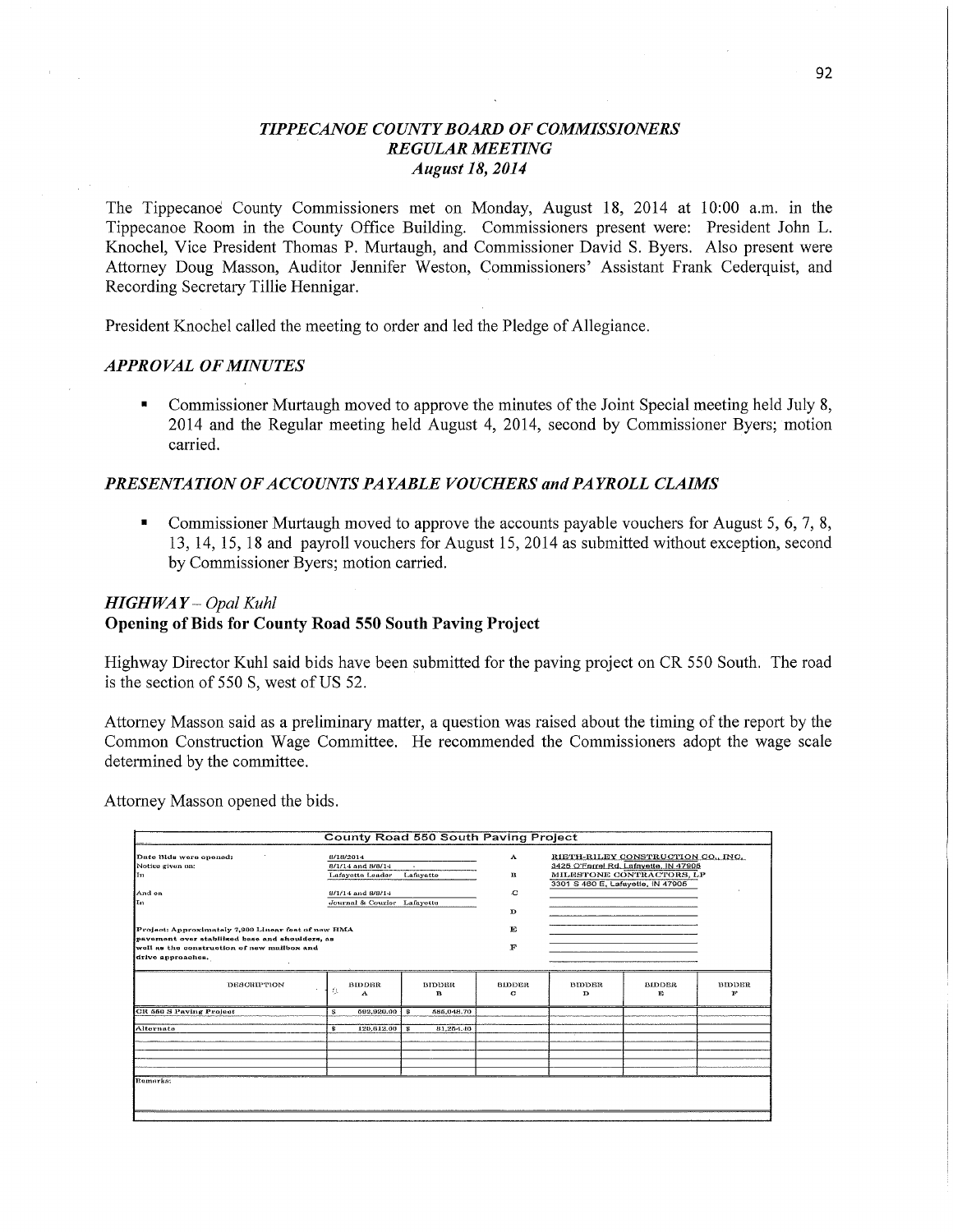# *TIPPECANOE COUNT Y BOARD* OF *COMMISSIONERS REGULAR MEETING August* 18, *2014*

The Tippecanoe' County Commissioners met on Monday, August 18, 2014 at **10:00** am. in the Tippecanoe Room in the County Office Building. Commissioners present were: President John L. Knochel, Vice President Thomas P. Murtaugh, and Commissioner David S. Byers. Also present were Attorney Doug Masson, Auditor Jennifer Weston, Commissioners' Assistant Frank Cederquist, and Recording Secretary Tillie Hennigar. '

President Knochel called the meeting to order and led the Pledge of Allegiance.

#### *APPROVAL* OF *MINUTES*

Commissioner Murtaugh moved to approve the minutes of the Joint Special meeting held July 8, 2014 and the Regular meeting held August 4, 2014, second by Commissioner Byers; motion carried.

## *PRESENTATION* OF *A* CCO UNT *S* PA *YABLE VOUCHERS* and *PAYROLL CLAIMS*

**I** Commissioner Murtaugh moved to approve the accounts payable vouchers for August 5, 6, 7, 8, 13, 14, 15, 18 and payroll vouchers for August 15, 2014 as submitted without exception, second by Commissioner Byers; motion carried.

### *HIGHWAY — Opal Kuhl*

## **Opening** of Bids for **County Road** 550 **South Paving Project**

Highway Director Kuhl said bids have been submitted for the paving project on CR 550 South. The road is the section of 550 S, west **ofUS** 52.

Attorney Masson said as a preliminary matter, a question was raised about the timing of the report by the Common Construction Wage Committee. He recommended the Commissioners adopt the wage scale determined by the committee.

Attorney Masson opened the bids.

| <b>County Road 550 South Paving Project</b>                                                    |                                          |                    |                    |                                                                             |                     |                    |
|------------------------------------------------------------------------------------------------|------------------------------------------|--------------------|--------------------|-----------------------------------------------------------------------------|---------------------|--------------------|
| Date Bids were opened:<br>Notice given on:                                                     | 8/18/2014<br>8/1/14 and 8/8/14<br>$\sim$ |                    | А                  | RIETH-RILEY CONSTRUCTION CO., INC.<br>3425 O'Farrel Rd, Lafayette, IN 47905 |                     |                    |
| ľтı                                                                                            | Lafayette Leader                         | Lafayette          | в                  | MILESTONE CONTRACTORS, LP<br>3301 S 460 E, Lafayette, IN 47905              |                     |                    |
| And on                                                                                         | 8/1/14 and 8/8/14                        |                    | c                  |                                                                             |                     |                    |
| Ιn                                                                                             | Journal & Courier Lafayette              |                    | $\mathbf{D}$       |                                                                             |                     |                    |
| Project: Approximately 7,900 Linear feat of new HMA                                            |                                          |                    | E                  |                                                                             |                     |                    |
| pavement over stabilized base and shoulders, as<br>well as the construction of new mailbox and |                                          |                    | F                  |                                                                             |                     |                    |
| drive approaches.                                                                              |                                          |                    |                    |                                                                             |                     |                    |
| <b>DESCRIPTION</b>                                                                             | <b>BIDDER</b><br>女<br>A                  | <b>BIDDER</b><br>в | <b>BIDDER</b><br>o | <b>BIDDER</b><br>D                                                          | <b>BIDDER</b><br>F. | <b>BIDDER</b><br>π |
| CR 550 S Paving Project                                                                        | 892,920.00<br>s                          | l s<br>585,048.70  |                    |                                                                             |                     |                    |
| Alternate                                                                                      | 120,612.00<br>£.                         | - 85<br>81,254,40  |                    |                                                                             |                     |                    |
|                                                                                                |                                          |                    |                    |                                                                             |                     |                    |
|                                                                                                |                                          |                    |                    |                                                                             |                     |                    |
| Romarks:                                                                                       |                                          |                    |                    |                                                                             |                     |                    |
|                                                                                                |                                          |                    |                    |                                                                             |                     |                    |
|                                                                                                |                                          |                    |                    |                                                                             |                     |                    |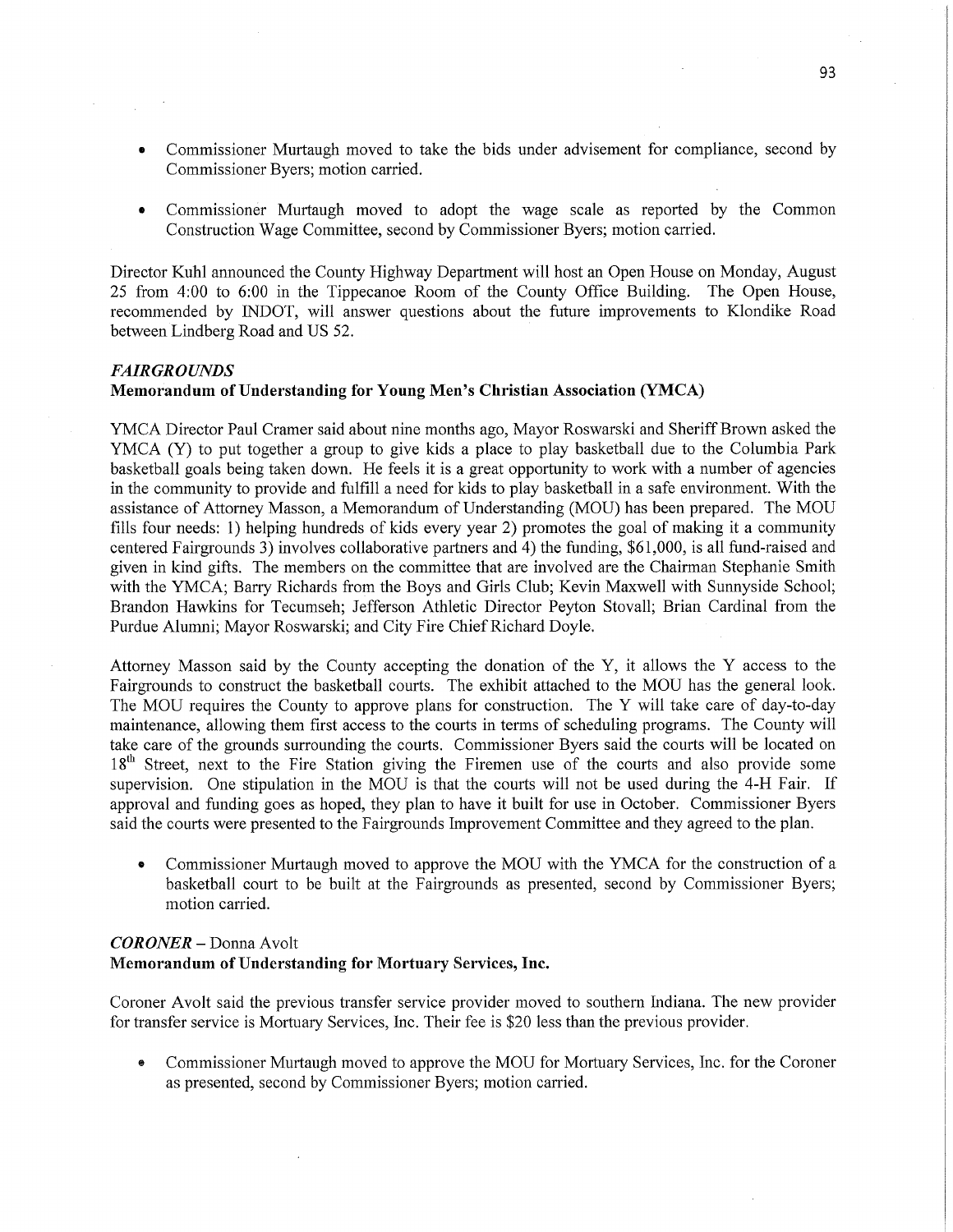- *0* Commissioner Murtaugh moved to take the bids under advisement for compliance, second by Commissioner Byers; motion carried.
- Commissioner Murtaugh moved to adopt the wage scale as reported by the Common Construction Wage Committee, second by Commissioner Byers; motion carried.

Director Kuhl announced the County Highway Department will host an Open House on Monday, August 25 from 4:00 to 6:00 in the Tippecanoe Room of the County Office Building. The Open House, recommended by INDOT, will answer questions about the future improvements to Klondike Road between Lindberg Road and US 52. '

### *FAIRGROUNDS*

## **Memorandum** of **Understanding** for Young Men's **Christian** Association **(YMCA)**

YMCA Director Paul Cramer said about nine months ago, Mayor Roswarski and Sheriff Brown asked the YMCA (Y) to put together a group to give kids a place to play basketball due to the Columbia Park basketball goals being taken down. He feels it is a great opportunity to work with a number of agencies in the community to provide and fulfill a need for kids to play basketball in a safe environment. With the assistance of Attorney Masson, a Memorandum of Understanding (MOU) has been prepared. The MOU **fills** four needs: 1) helping hundreds of kids every year 2) promotes the goal of making it a community centered Fairgrounds 3) involves collaborative partners and 4) the funding, \$61,000, is all fimd-raised and given in kind gifts. The members on the committee that are involved are the Chairman Stephanie Smith with the YMCA; Barry Richards from the Boys and Girls Club; Kevin Maxwell with Sunnyside School; Brandon Hawkins for Tecumseh; Jefferson Athletic Director Peyton Stovall; Brian Cardinal from the Purdue Alumni; Mayor Roswarski; and City Fire Chief Richard Doyle.

Attorney Masson said by the County accepting the donation of the Y, it allows the **Y** access to the Fairgrounds to construct the basketball courts. The exhibit attached to the MOU has the general look. The MOU requires the County to approve plans for construction. The **Y** will take care of day-to-day maintenance, allowing them first access to the courts in terms of scheduling programs. The County will take care of the grounds surrounding the courts. Commissioner Byers said the courts will be located on 18<sup>th</sup> Street, next to the Fire Station giving the Firemen use of the courts and also provide some supervision. One stipulation in the MOU is that the courts will not be used during the 4-H Fair. If approval and funding goes as hoped, they plan to have it built for use in October. Commissioner Byers said the courts were presented to the Fairgrounds Improvement Committee and they agreed to the plan.

**0** Commissioner Murtaugh moved to approve the MOU with the YMCA for the construction of <sup>a</sup> basketball court to be built at the Fairgrounds as presented, second by Commissioner Byers; motion carried.

# *CORONER* **—** Donna Avolt **Memorandum** of **Understanding** for **Mortuary** Services, **Inc.**

Coroner Avolt said the previous transfer service provider moved to southern Indiana. The new provider for transfer service is Mortuary **Services,** Inc. Their fee is \$20 less than the previous provider.

**0** Commissioner Murtaugh moved to approve the MOU for Mortuary Services, Inc. for the Coroner as presented, second by Commissioner Byers; motion carried.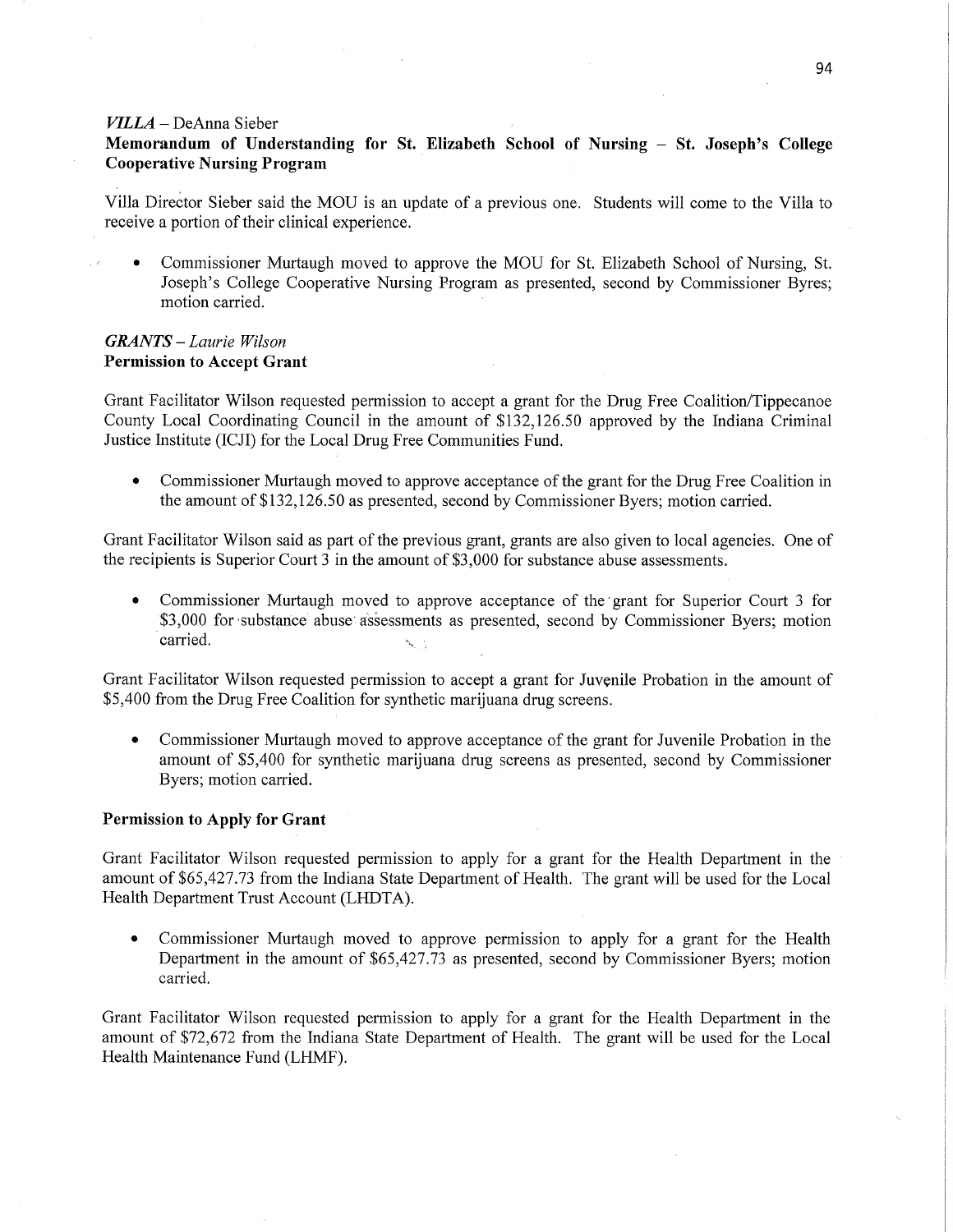#### *VILLA—* DeAnna Sieber

# **Memorandum** of **Understanding** for St. **Elizabeth School** of **Nursing** *—* St. **Joseph's College Cooperative Nursing Program** .

Villa Direétor Sieber said the MOU is an update of <sup>a</sup>previous one. Students will come to the Villa to receive a portion of their clinical experience.

• Commissioner Murtaugh moved to approve the MOU for St. Elizabeth School of Nursing, St. Joseph's College Cooperative Nursing Program as presented, second by Commissioner Byres; motion carried.

## *GRANTS* — *Laurie Wilson*  Permission to **Accept Grant**

Grant Facilitator Wilson requested permission to accept a grant for the Drug Free Coalition/Tippecanoe County Local **Coordinating** Council in the amount of \$132,126.50 approved by the Indiana Criminal Justice Institute (ICJI) for the Local Drug Free Communities **Fund.** 

**0** Commissioner Murtaugh moved to approve acceptance of the grant for the Drug Free Coalition in the amount of \$132,126.50 as presented, second by Commissioner Byers; motion carried.

Grant Facilitator Wilson said as part of the previous grant, grants are also **given** to local agencies. One of the recipients is Superior Court 3 in the **amount** of \$3,000 for substance abuse assessments.

**-** Commissioner Murtaugh moved to approve acceptance of the'grant for Superior Court 3 for \$3,000 for substance abuse assessments as presented, second by Commissioner Byers; motion **carried.**  $\ddot{\hspace{1cm}}$  **.**  $\ddot{\hspace{1cm}}$  **.**  $\ddot{\hspace{1cm}}$  **.**  $\ddot{\hspace{1cm}}$  **.**  $\ddot{\hspace{1cm}}$  **.**  $\ddot{\hspace{1cm}}$  **.**  $\ddot{\hspace{1cm}}$  **.**  $\ddot{\hspace{1cm}}$  **.**  $\ddot{\hspace{1cm}}$  **.**  $\ddot{\hspace{1cm}}$  **.**  $\ddot{\hspace{1cm}}$  **.**  $\ddot{\hspace{1cm}}$  **.**  $\ddot{\hspace$ 

**Grant** Facilitator Wilson requested permission to accept **a** grant for Juvenile Probation in the amount of \$5,400 fiom the Drug Free Coalition for synthetic **marijuana** drug screens.

**0** Commissioner Murtaugh moved to approve acceptance of the **grant** for Juvenile Probation in the **amount** of \$5,400 for synthetic marijuana drug screens as presented, second by Commissioner Byers; motion **carried.** 

# **Permission** to **Apply** for **Grant**

Grant Facilitator Wilson requested permission to apply for <sup>a</sup>grant for the Health Department in the ' amount of \$65,427.73 from the Indiana State Department of Health. The **grant** will be used for the Local Health Department Trust Account (LHDTA).

**0** Commissioner Murtaugh moved to approve permission to apply for a **grant** for the Health Department in the amount of \$65,427.73 as presented, second by Commissioner Byers; motion carried.

Grant Facilitator Wilson requested permission to apply for **a** grant for the Health Department in the amount of \$72,672 from the Indiana State Department of Health. The grant will be used for the Local **Health** Maintenance Fund (LHMF).